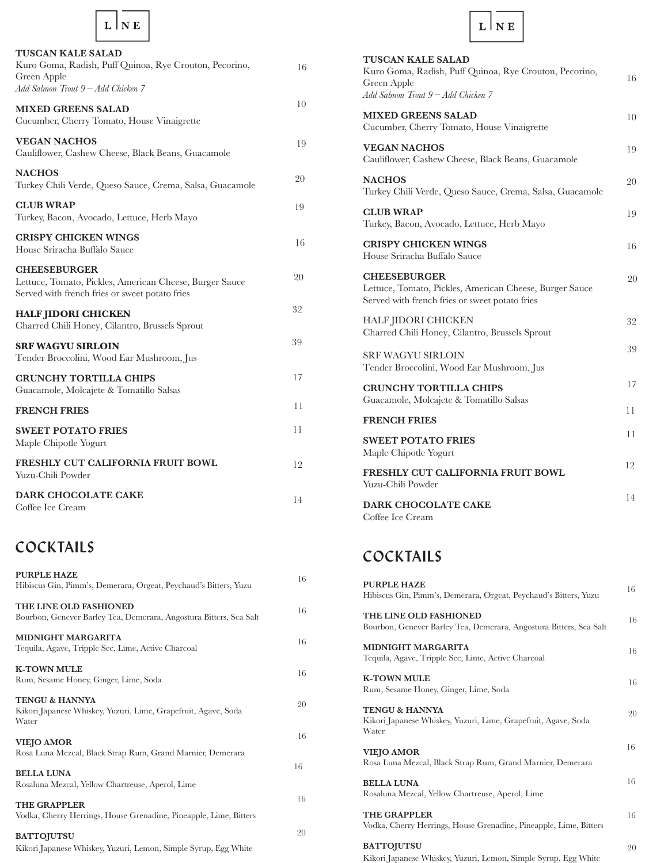| <b>TUSCAN KALE SALAD</b><br>Kuro Goma, Radish, Puff Quinoa, Rye Crouton, Pecorino,<br>Green Apple<br>Add Salmon Trout 9 - Add Chicken 7 | 16 |
|-----------------------------------------------------------------------------------------------------------------------------------------|----|
| <b>MIXED GREENS SALAD</b><br>Cucumber, Cherry Tomato, House Vinaigrette                                                                 | 10 |
| <b>VEGAN NACHOS</b><br>Cauliflower, Cashew Cheese, Black Beans, Guacamole                                                               | 19 |
| <b>NACHOS</b><br>Turkey Chili Verde, Queso Sauce, Crema, Salsa, Guacamole                                                               | 20 |
| <b>CLUB WRAP</b><br>Turkey, Bacon, Avocado, Lettuce, Herb Mayo                                                                          | 19 |
| <b>CRISPY CHICKEN WINGS</b><br>House Sriracha Buffalo Sauce                                                                             | 16 |
| <b>CHEESEBURGER</b><br>Lettuce, Tomato, Pickles, American Cheese, Burger Sauce<br>Served with french fries or sweet potato fries        | 20 |
| <b>HALF JIDORI CHICKEN</b><br>Charred Chili Honey, Cilantro, Brussels Sprout                                                            | 32 |
| <b>SRF WAGYU SIRLOIN</b><br>Tender Broccolini, Wood Ear Mushroom, Jus                                                                   | 39 |
| <b>CRUNCHY TORTILLA CHIPS</b><br>Guacamole, Molcajete & Tomatillo Salsas                                                                | 17 |
| <b>FRENCH FRIES</b>                                                                                                                     | 11 |
| <b>SWEET POTATO FRIES</b><br>Maple Chipotle Yogurt                                                                                      | 11 |
| <b>FRESHLY CUT CALIFORNIA FRUIT BOWL</b><br>Yuzu-Chili Powder                                                                           | 12 |
| <b>DARK CHOCOLATE CAKE</b><br>Coffee Ice Cream                                                                                          | 14 |

## **COCKTAILS**

| PURPLE HAZE<br>Hibiscus Gin, Pimm's, Demerara, Orgeat, Peychaud's Bitters, Yuzu                      | 16 |
|------------------------------------------------------------------------------------------------------|----|
| THE LINE OLD FASHIONED<br>Bourbon, Genever Barley Tea, Demerara, Angostura Bitters, Sea Salt         | 16 |
| <b>MIDNIGHT MARGARITA</b><br>Tequila, Agave, Tripple Sec, Lime, Active Charcoal                      | 16 |
| <b>K-TOWN MULE</b><br>Rum, Sesame Honey, Ginger, Lime, Soda                                          | 16 |
| <b>TENGU &amp; HANNYA</b><br>Kikori Japanese Whiskey, Yuzuri, Lime, Grapefruit, Agave, Soda<br>Water | 20 |
| <b>VIEJO AMOR</b>                                                                                    | 16 |
| Rosa Luna Mezcal, Black Strap Rum, Grand Marnier, Demerara                                           | 16 |
| <b>BELLA LUNA</b><br>Rosaluna Mezcal, Yellow Chartreuse, Aperol, Lime                                |    |
| <b>THE GRAPPLER</b><br>Vodka, Cherry Herrings, House Grenadine, Pineapple, Lime, Bitters             | 16 |
| <b>BATTOJUTSU</b><br>Kikori Japanese Whiskey, Yuzuri, Lemon, Simple Syrup, Egg White                 | 20 |



| TUSCAN KALE SALAD<br>Kuro Goma, Radish, Puff Quinoa, Rye Crouton, Pecorino,<br>Green Apple<br>Add Salmon Trout 9 - Add Chicken 7 | 16 |
|----------------------------------------------------------------------------------------------------------------------------------|----|
| <b>MIXED GREENS SALAD</b><br>Cucumber, Cherry Tomato, House Vinaigrette                                                          | 10 |
| <b>VEGAN NACHOS</b><br>Cauliflower, Cashew Cheese, Black Beans, Guacamole                                                        | 19 |
| <b>NACHOS</b><br>Turkey Chili Verde, Queso Sauce, Crema, Salsa, Guacamole                                                        | 20 |
| <b>CLUB WRAP</b><br>Turkey, Bacon, Avocado, Lettuce, Herb Mayo                                                                   | 19 |
| <b>CRISPY CHICKEN WINGS</b><br>House Sriracha Buffalo Sauce                                                                      | 16 |
| <b>CHEESEBURGER</b><br>Lettuce, Tomato, Pickles, American Cheese, Burger Sauce<br>Served with french fries or sweet potato fries | 20 |
| <b>HALF JIDORI CHICKEN</b><br>Charred Chili Honey, Cilantro, Brussels Sprout                                                     | 32 |
| <b>SRF WAGYU SIRLOIN</b><br>Tender Broccolini, Wood Ear Mushroom, Jus                                                            | 39 |
| <b>CRUNCHY TORTILLA CHIPS</b><br>Guacamole, Molcajete & Tomatillo Salsas                                                         | 17 |
| <b>FRENCH FRIES</b>                                                                                                              | 11 |
| <b>SWEET POTATO FRIES</b><br>Maple Chipotle Yogurt                                                                               | 11 |
| FRESHLY CUT CALIFORNIA FRUIT BOWL<br>Yuzu-Chili Powder                                                                           | 12 |
| <b>DARK CHOCOLATE CAKE</b><br>Coffee Ice Cream                                                                                   | 14 |

# **COCKTAILS**

| <b>PURPLE HAZE</b><br>Hibiscus Gin, Pimm's, Demerara, Orgeat, Peychaud's Bitters, Yuzu               | 16 |
|------------------------------------------------------------------------------------------------------|----|
| THE LINE OLD FASHIONED<br>Bourbon, Genever Barley Tea, Demerara, Angostura Bitters, Sea Salt         | 16 |
| <b>MIDNIGHT MARGARITA</b><br>Tequila, Agave, Tripple Sec, Lime, Active Charcoal                      | 16 |
| <b>K-TOWN MULE</b><br>Rum, Sesame Honey, Ginger, Lime, Soda                                          | 16 |
| <b>TENGU &amp; HANNYA</b><br>Kikori Japanese Whiskey, Yuzuri, Lime, Grapefruit, Agave, Soda<br>Water | 20 |
| <b>VIEJO AMOR</b><br>Rosa Luna Mezcal, Black Strap Rum, Grand Marnier, Demerara                      | 16 |
| <b>BELLA LUNA</b><br>Rosaluna Mezcal, Yellow Chartreuse, Aperol, Lime                                | 16 |
| THE GRAPPLER<br>Vodka, Cherry Herrings, House Grenadine, Pineapple, Lime, Bitters                    | 16 |
| <b>BATTOJUTSU</b><br>Kikori Japanese Whiskey, Yuzuri, Lemon, Simple Syrup, Egg White                 | 20 |